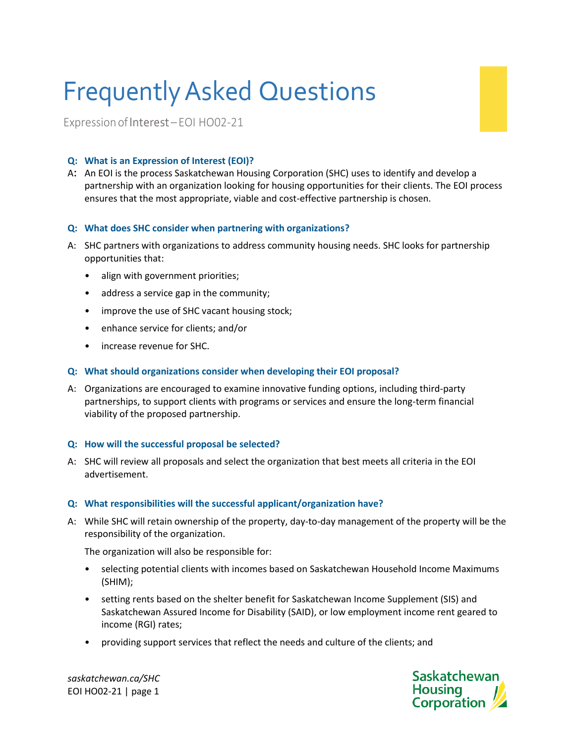# FrequentlyAsked Questions

ExpressionofInterest–EOI HO02-21

# **Q: What is an Expression of Interest (EOI)?**

A: An EOI is the process Saskatchewan Housing Corporation (SHC) uses to identify and develop a partnership with an organization looking for housing opportunities for their clients. The EOI process ensures that the most appropriate, viable and cost-effective partnership is chosen.

## **Q: What does SHC consider when partnering with organizations?**

- A: SHC partners with organizations to address community housing needs. SHC looks for partnership opportunities that:
	- align with government priorities;
	- address a service gap in the community;
	- improve the use of SHC vacant housing stock;
	- enhance service for clients; and/or
	- increase revenue for SHC.

## **Q: What should organizations consider when developing their EOI proposal?**

A: Organizations are encouraged to examine innovative funding options, including third-party partnerships, to support clients with programs or services and ensure the long-term financial viability of the proposed partnership.

## **Q: How will the successful proposal be selected?**

A: SHC will review all proposals and select the organization that best meets all criteria in the EOI advertisement.

## **Q: What responsibilities will the successful applicant/organization have?**

A: While SHC will retain ownership of the property, day-to-day management of the property will be the responsibility of the organization.

The organization will also be responsible for:

- selecting potential clients with incomes based on Saskatchewan Household Income Maximums (SHIM);
- setting rents based on the shelter benefit for Saskatchewan Income Supplement (SIS) and Saskatchewan Assured Income for Disability (SAID), or low employment income rent geared to income (RGI) rates;
- providing support services that reflect the needs and culture of the clients; and

*saskatchewan.ca/SHC* EOI HO02-21 | page 1